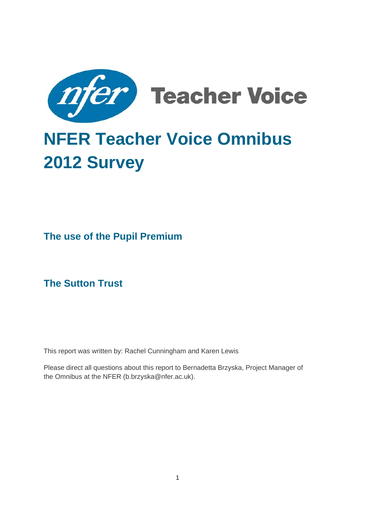

# **NFER Teacher Voice Omnibus 2012 Survey**

**The use of the Pupil Premium** 

**The Sutton Trust** 

This report was written by: Rachel Cunningham and Karen Lewis

Please direct all questions about this report to Bernadetta Brzyska, Project Manager of the Omnibus at the NFER ([b.brzyska@nfer.ac.uk](mailto:b.brzyska@nfer.ac.uk)).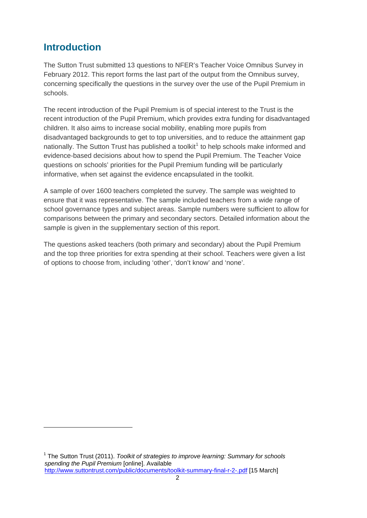### **Introduction**

<u>.</u>

The Sutton Trust submitted 13 questions to NFER's Teacher Voice Omnibus Survey in February 2012. This report forms the last part of the output from the Omnibus survey, concerning specifically the questions in the survey over the use of the Pupil Premium in schools.

The recent introduction of the Pupil Premium is of special interest to the Trust is the recent introduction of the Pupil Premium, which provides extra funding for disadvantaged children. It also aims to increase social mobility, enabling more pupils from disadvantaged backgrounds to get to top universities, and to reduce the attainment gap nationally. The Sutton Trust has published a toolkit<sup>[1](#page-1-0)</sup> to help schools make informed and evidence-based decisions about how to spend the Pupil Premium. The Teacher Voice questions on schools' priorities for the Pupil Premium funding will be particularly informative, when set against the evidence encapsulated in the toolkit.

A sample of over 1600 teachers completed the survey. The sample was weighted to ensure that it was representative. The sample included teachers from a wide range of school governance types and subject areas. Sample numbers were sufficient to allow for comparisons between the primary and secondary sectors. Detailed information about the sample is given in the supplementary section of this report.

The questions asked teachers (both primary and secondary) about the Pupil Premium and the top three priorities for extra spending at their school. Teachers were given a list of options to choose from, including 'other', 'don't know' and 'none'.

<span id="page-1-0"></span><sup>1</sup> The Sutton Trust (2011). *Toolkit of strategies to improve learning: Summary for schools spending the Pupil Premium* [online]. Available <http://www.suttontrust.com/public/documents/toolkit-summary-final-r-2-.pdf>[15 March]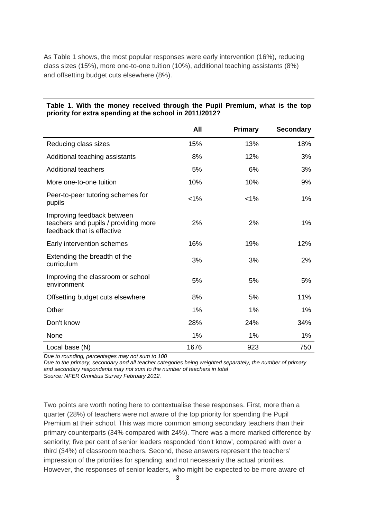As Table 1 shows, the most popular responses were early intervention (16%), reducing class sizes (15%), more one-to-one tuition (10%), additional teaching assistants (8%) and offsetting budget cuts elsewhere (8%).

|                                                                                                  | All     | <b>Primary</b> | <b>Secondary</b> |
|--------------------------------------------------------------------------------------------------|---------|----------------|------------------|
| Reducing class sizes                                                                             | 15%     | 13%            | 18%              |
| Additional teaching assistants                                                                   | 8%      | 12%            | 3%               |
| <b>Additional teachers</b>                                                                       | 5%      | 6%             | 3%               |
| More one-to-one tuition                                                                          | 10%     | 10%            | 9%               |
| Peer-to-peer tutoring schemes for<br>pupils                                                      | $< 1\%$ | $< 1\%$        | 1%               |
| Improving feedback between<br>teachers and pupils / providing more<br>feedback that is effective | 2%      | 2%             | 1%               |
| Early intervention schemes                                                                       | 16%     | 19%            | 12%              |
| Extending the breadth of the<br>curriculum                                                       | 3%      | 3%             | 2%               |
| Improving the classroom or school<br>environment                                                 | 5%      | 5%             | 5%               |
| Offsetting budget cuts elsewhere                                                                 | 8%      | 5%             | 11%              |
| Other                                                                                            | 1%      | 1%             | 1%               |
| Don't know                                                                                       | 28%     | 24%            | 34%              |
| None                                                                                             | 1%      | $1\%$          | 1%               |
| Local base (N)                                                                                   | 1676    | 923            | 750              |

#### **Table 1. With the money received through the Pupil Premium, what is the top priority for extra spending at the school in 2011/2012?**

*Due to rounding, percentages may not sum to 100* 

*Due to the primary, secondary and all teacher categories being weighted separately, the number of primary and secondary respondents may not sum to the number of teachers in total Source: NFER Omnibus Survey February 2012.* 

Two points are worth noting here to contextualise these responses. First, more than a quarter (28%) of teachers were not aware of the top priority for spending the Pupil Premium at their school. This was more common among secondary teachers than their primary counterparts (34% compared with 24%). There was a more marked difference by seniority; five per cent of senior leaders responded 'don't know', compared with over a third (34%) of classroom teachers. Second, these answers represent the teachers' impression of the priorities for spending, and not necessarily the actual priorities. However, the responses of senior leaders, who might be expected to be more aware of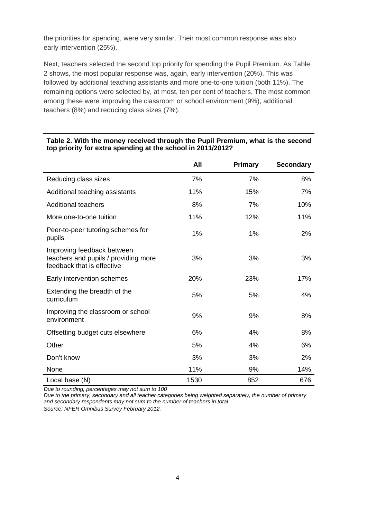the priorities for spending, were very similar. Their most common response was also early intervention (25%).

Next, teachers selected the second top priority for spending the Pupil Premium. As Table 2 shows, the most popular response was, again, early intervention (20%). This was followed by additional teaching assistants and more one-to-one tuition (both 11%). The remaining options were selected by, at most, ten per cent of teachers. The most common among these were improving the classroom or school environment (9%), additional teachers (8%) and reducing class sizes (7%).

|                                                                                                  | All  | <b>Primary</b> | <b>Secondary</b> |
|--------------------------------------------------------------------------------------------------|------|----------------|------------------|
| Reducing class sizes                                                                             | 7%   | 7%             | 8%               |
| Additional teaching assistants                                                                   | 11%  | 15%            | 7%               |
| <b>Additional teachers</b>                                                                       | 8%   | 7%             | 10%              |
| More one-to-one tuition                                                                          | 11%  | 12%            | 11%              |
| Peer-to-peer tutoring schemes for<br>pupils                                                      | 1%   | 1%             | 2%               |
| Improving feedback between<br>teachers and pupils / providing more<br>feedback that is effective | 3%   | 3%             | 3%               |
| Early intervention schemes                                                                       | 20%  | 23%            | 17%              |
| Extending the breadth of the<br>curriculum                                                       | 5%   | 5%             | 4%               |
| Improving the classroom or school<br>environment                                                 | 9%   | 9%             | 8%               |
| Offsetting budget cuts elsewhere                                                                 | 6%   | 4%             | 8%               |
| Other                                                                                            | 5%   | 4%             | 6%               |
| Don't know                                                                                       | 3%   | 3%             | 2%               |
| None                                                                                             | 11%  | 9%             | 14%              |
| Local base (N)                                                                                   | 1530 | 852            | 676              |

#### **Table 2. With the money received through the Pupil Premium, what is the second top priority for extra spending at the school in 2011/2012?**

*Due to rounding, percentages may not sum to 100* 

*Due to the primary, secondary and all teacher categories being weighted separately, the number of primary and secondary respondents may not sum to the number of teachers in total Source: NFER Omnibus Survey February 2012.* 

4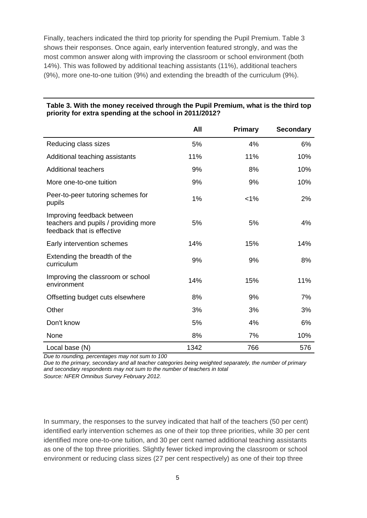Finally, teachers indicated the third top priority for spending the Pupil Premium. Table 3 shows their responses. Once again, early intervention featured strongly, and was the most common answer along with improving the classroom or school environment (both 14%). This was followed by additional teaching assistants (11%), additional teachers (9%), more one-to-one tuition (9%) and extending the breadth of the curriculum (9%).

|                                                                                                  | All  | <b>Primary</b> | <b>Secondary</b> |
|--------------------------------------------------------------------------------------------------|------|----------------|------------------|
| Reducing class sizes                                                                             | 5%   | 4%             | 6%               |
| Additional teaching assistants                                                                   | 11%  | 11%            | 10%              |
| <b>Additional teachers</b>                                                                       | 9%   | 8%             | 10%              |
| More one-to-one tuition                                                                          | 9%   | 9%             | 10%              |
| Peer-to-peer tutoring schemes for<br>pupils                                                      | 1%   | $< 1\%$        | 2%               |
| Improving feedback between<br>teachers and pupils / providing more<br>feedback that is effective | 5%   | 5%             | 4%               |
| Early intervention schemes                                                                       | 14%  | 15%            | 14%              |
| Extending the breadth of the<br>curriculum                                                       | 9%   | 9%             | 8%               |
| Improving the classroom or school<br>environment                                                 | 14%  | 15%            | 11%              |
| Offsetting budget cuts elsewhere                                                                 | 8%   | 9%             | 7%               |
| Other                                                                                            | 3%   | 3%             | 3%               |
| Don't know                                                                                       | 5%   | 4%             | 6%               |
| None                                                                                             | 8%   | 7%             | 10%              |
| Local base (N)                                                                                   | 1342 | 766            | 576              |

#### **Table 3. With the money received through the Pupil Premium, what is the third top priority for extra spending at the school in 2011/2012?**

*Due to rounding, percentages may not sum to 100* 

*Due to the primary, secondary and all teacher categories being weighted separately, the number of primary and secondary respondents may not sum to the number of teachers in total Source: NFER Omnibus Survey February 2012.* 

In summary, the responses to the survey indicated that half of the teachers (50 per cent) identified early intervention schemes as one of their top three priorities, while 30 per cent identified more one-to-one tuition, and 30 per cent named additional teaching assistants as one of the top three priorities. Slightly fewer ticked improving the classroom or school environment or reducing class sizes (27 per cent respectively) as one of their top three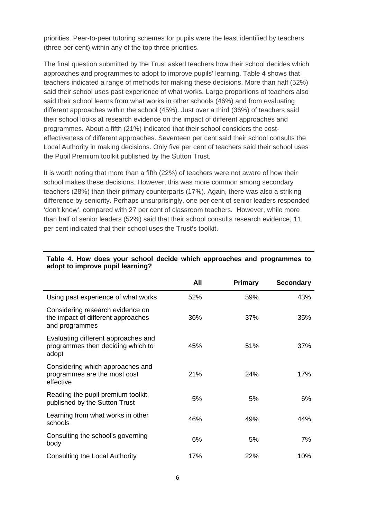priorities. Peer-to-peer tutoring schemes for pupils were the least identified by teachers (three per cent) within any of the top three priorities.

The final question submitted by the Trust asked teachers how their school decides which approaches and programmes to adopt to improve pupils' learning. Table 4 shows that teachers indicated a range of methods for making these decisions. More than half (52%) said their school uses past experience of what works. Large proportions of teachers also said their school learns from what works in other schools (46%) and from evaluating different approaches within the school (45%). Just over a third (36%) of teachers said their school looks at research evidence on the impact of different approaches and programmes. About a fifth (21%) indicated that their school considers the costeffectiveness of different approaches. Seventeen per cent said their school consults the Local Authority in making decisions. Only five per cent of teachers said their school uses the Pupil Premium toolkit published by the Sutton Trust.

It is worth noting that more than a fifth (22%) of teachers were not aware of how their school makes these decisions. However, this was more common among secondary teachers (28%) than their primary counterparts (17%). Again, there was also a striking difference by seniority. Perhaps unsurprisingly, one per cent of senior leaders responded 'don't know', compared with 27 per cent of classroom teachers. However, while more than half of senior leaders (52%) said that their school consults research evidence, 11 per cent indicated that their school uses the Trust's toolkit.

|                                                                                          | All | Primary | <b>Secondary</b> |
|------------------------------------------------------------------------------------------|-----|---------|------------------|
| Using past experience of what works                                                      | 52% | 59%     | 43%              |
| Considering research evidence on<br>the impact of different approaches<br>and programmes | 36% | 37%     | 35%              |
| Evaluating different approaches and<br>programmes then deciding which to<br>adopt        | 45% | 51%     | 37%              |
| Considering which approaches and<br>programmes are the most cost<br>effective            | 21% | 24%     | 17%              |
| Reading the pupil premium toolkit,<br>published by the Sutton Trust                      | 5%  | 5%      | 6%               |
| Learning from what works in other<br>schools                                             | 46% | 49%     | 44%              |
| Consulting the school's governing<br>body                                                | 6%  | 5%      | 7%               |
| Consulting the Local Authority                                                           | 17% | 22%     | 10%              |

#### **Table 4. How does your school decide which approaches and programmes to adopt to improve pupil learning?**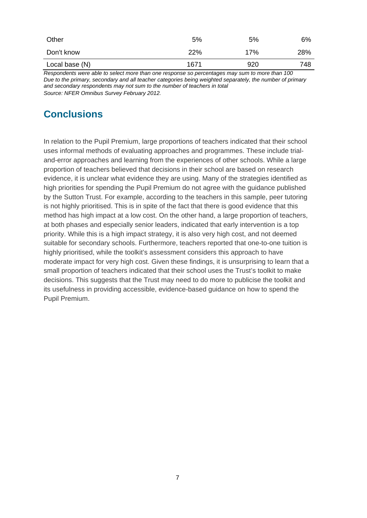| Other          | 5%   | 5%  | 6%  |
|----------------|------|-----|-----|
| Don't know     | 22%  | 17% | 28% |
| Local base (N) | 1671 | 920 | 748 |

*Respondents were able to select more than one response so percentages may sum to more than 100 Due to the primary, secondary and all teacher categories being weighted separately, the number of primary and secondary respondents may not sum to the number of teachers in total Source: NFER Omnibus Survey February 2012.*

## **Conclusions**

In relation to the Pupil Premium, large proportions of teachers indicated that their school uses informal methods of evaluating approaches and programmes. These include trialand-error approaches and learning from the experiences of other schools. While a large proportion of teachers believed that decisions in their school are based on research evidence, it is unclear what evidence they are using. Many of the strategies identified as high priorities for spending the Pupil Premium do not agree with the guidance published by the Sutton Trust. For example, according to the teachers in this sample, peer tutoring is not highly prioritised. This is in spite of the fact that there is good evidence that this method has high impact at a low cost. On the other hand, a large proportion of teachers, at both phases and especially senior leaders, indicated that early intervention is a top priority. While this is a high impact strategy, it is also very high cost, and not deemed suitable for secondary schools. Furthermore, teachers reported that one-to-one tuition is highly prioritised, while the toolkit's assessment considers this approach to have moderate impact for very high cost. Given these findings, it is unsurprising to learn that a small proportion of teachers indicated that their school uses the Trust's toolkit to make decisions. This suggests that the Trust may need to do more to publicise the toolkit and its usefulness in providing accessible, evidence-based guidance on how to spend the Pupil Premium.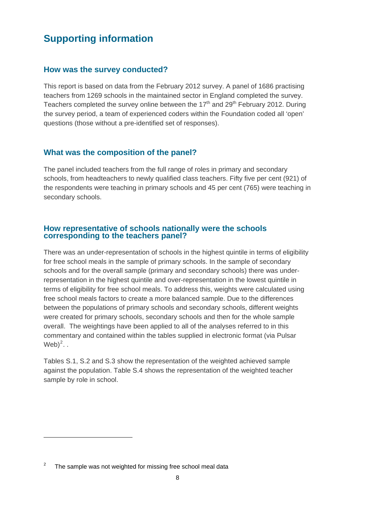### **Supporting information**

#### **How was the survey conducted?**

This report is based on data from the February 2012 survey. A panel of 1686 practising teachers from 1269 schools in the maintained sector in England completed the survey. Teachers completed the survey online between the  $17<sup>th</sup>$  and  $29<sup>th</sup>$  February 2012. During the survey period, a team of experienced coders within the Foundation coded all 'open' questions (those without a pre-identified set of responses).

#### **What was the composition of the panel?**

The panel included teachers from the full range of roles in primary and secondary schools, from headteachers to newly qualified class teachers. Fifty five per cent (921) of the respondents were teaching in primary schools and 45 per cent (765) were teaching in secondary schools.

## **How representative of schools nationally were the schools corresponding to the teachers panel?**

There was an under-representation of schools in the highest quintile in terms of eligibility for free school meals in the sample of primary schools. In the sample of secondary schools and for the overall sample (primary and secondary schools) there was underrepresentation in the highest quintile and over-representation in the lowest quintile in terms of eligibility for free school meals. To address this, weights were calculated using free school meals factors to create a more balanced sample. Due to the differences between the populations of primary schools and secondary schools, different weights were created for primary schools, secondary schools and then for the whole sample overall. The weightings have been applied to all of the analyses referred to in this commentary and contained within the tables supplied in electronic format (via Pulsar  $Web)^2$  $Web)^2$ ..

Tables S.1, S.2 and S.3 show the representation of the weighted achieved sample against the population. Table S.4 shows the representation of the weighted teacher sample by role in school.

<u>.</u>

<span id="page-7-0"></span><sup>2</sup> The sample was not weighted for missing free school meal data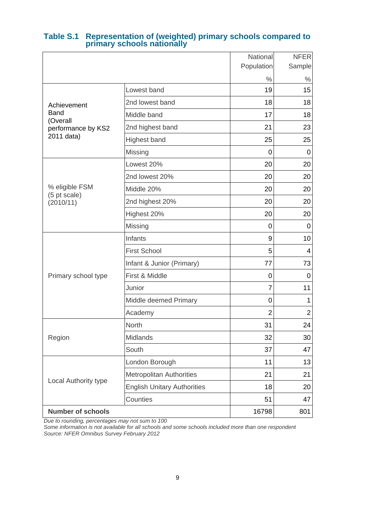|                           |                                    | National       | <b>NFER</b>    |
|---------------------------|------------------------------------|----------------|----------------|
|                           |                                    | Population     | Sample         |
|                           |                                    | $\%$           | $\%$           |
|                           | Lowest band                        | 19             | 15             |
| Achievement               | 2nd lowest band                    | 18             | 18             |
| <b>Band</b><br>(Overall   | Middle band                        | 17             | 18             |
| performance by KS2        | 2nd highest band                   | 21             | 23             |
| 2011 data)                | <b>Highest band</b>                | 25             | 25             |
|                           | Missing                            | 0              | 0              |
|                           | Lowest 20%                         | 20             | 20             |
|                           | 2nd lowest 20%                     | 20             | 20             |
| % eligible FSM            | Middle 20%                         | 20             | 20             |
| (5 pt scale)<br>(2010/11) | 2nd highest 20%                    | 20             | 20             |
|                           | Highest 20%                        | 20             | 20             |
|                           | Missing                            | 0              | 0              |
|                           | Infants                            | 9              | 10             |
|                           | <b>First School</b>                | 5              | $\overline{4}$ |
|                           | Infant & Junior (Primary)          | 77             | 73             |
| Primary school type       | First & Middle                     | 0              | 0              |
|                           | Junior                             | 7              | 11             |
|                           | Middle deemed Primary              | 0              | 1              |
|                           | Academy                            | $\overline{2}$ | $\overline{2}$ |
|                           | North                              | 31             | 24             |
| Region                    | Midlands                           | 32             | 30             |
|                           | South                              | 37             | 47             |
|                           | London Borough                     | 11             | 13             |
|                           | <b>Metropolitan Authorities</b>    | 21             | 21             |
| Local Authority type      | <b>English Unitary Authorities</b> | 18             | 20             |
|                           | Counties                           | 51             | 47             |
| <b>Number of schools</b>  |                                    | 16798          | 801            |

# **Table S.1 Representation of (weighted) primary schools compared to primary schools nationally**

*Due to rounding, percentages may not sum to 100* 

*Some information is not available for all schools and some schools included more than one respondent Source: NFER Omnibus Survey February 2012*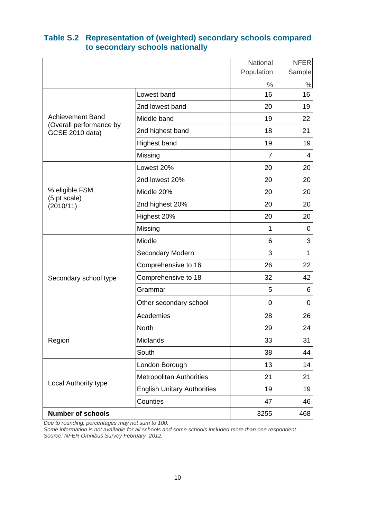|                                                    |                                    | National   | <b>NFER</b>  |
|----------------------------------------------------|------------------------------------|------------|--------------|
|                                                    |                                    | Population | Sample       |
|                                                    |                                    | $\%$       | $\%$         |
|                                                    | Lowest band                        | 16         | 16           |
|                                                    | 2nd lowest band                    | 20         | 19           |
| <b>Achievement Band</b><br>(Overall performance by | Middle band                        | 19         | 22           |
| <b>GCSE 2010 data)</b>                             | 2nd highest band                   | 18         | 21           |
|                                                    | Highest band                       | 19         | 19           |
|                                                    | Missing                            | 7          | 4            |
|                                                    | Lowest 20%                         | 20         | 20           |
|                                                    | 2nd lowest 20%                     | 20         | 20           |
| % eligible FSM                                     | Middle 20%                         | 20         | 20           |
| (5 pt scale)<br>(2010/11)                          | 2nd highest 20%                    | 20         | 20           |
|                                                    | Highest 20%                        | 20         | 20           |
|                                                    | Missing                            | 1          | 0            |
|                                                    | Middle                             | 6          | 3            |
|                                                    | Secondary Modern                   | 3          | $\mathbf{1}$ |
|                                                    | Comprehensive to 16                | 26         | 22           |
| Secondary school type                              | Comprehensive to 18                | 32         | 42           |
|                                                    | Grammar                            | 5          | 6            |
|                                                    | Other secondary school             | 0          | 0            |
|                                                    | Academies                          | 28         | 26           |
|                                                    | North                              | 29         | 24           |
| Region                                             | Midlands                           | 33         | 31           |
|                                                    | South                              | 38         | 44           |
|                                                    | London Borough                     | 13         | 14           |
|                                                    | <b>Metropolitan Authorities</b>    | 21         | 21           |
| Local Authority type                               | <b>English Unitary Authorities</b> | 19         | 19           |
|                                                    | Counties                           | 47         | 46           |
| <b>Number of schools</b>                           |                                    | 3255       | 468          |

#### **Table S.2 Representation of (weighted) secondary schools compared to secondary schools nationally**

*Due to rounding, percentages may not sum to 100.* 

*Some information is not available for all schools and some schools included more than one respondent. Source: NFER Omnibus Survey February 2012.*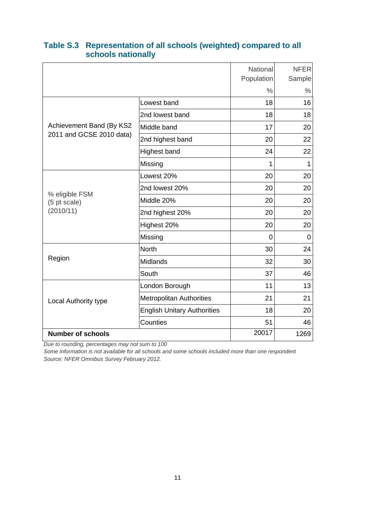|                                |                                    | National<br>Population | <b>NFER</b><br>Sample |
|--------------------------------|------------------------------------|------------------------|-----------------------|
|                                |                                    | $\frac{0}{0}$          | $\%$                  |
|                                | Lowest band                        | 18                     | 16                    |
|                                | 2nd lowest band                    | 18                     | 18                    |
| Achievement Band (By KS2       | Middle band                        | 17                     | 20                    |
| 2011 and GCSE 2010 data)       | 2nd highest band                   | 20                     | 22                    |
|                                | <b>Highest band</b>                | 24                     | 22                    |
|                                | Missing                            | 1                      | 1                     |
|                                | Lowest 20%                         | 20                     | 20                    |
|                                | 2nd lowest 20%                     | 20                     | 20                    |
| % eligible FSM<br>(5 pt scale) | Middle 20%                         | 20                     | 20                    |
| (2010/11)                      | 2nd highest 20%                    | 20                     | 20                    |
|                                | Highest 20%                        | 20                     | 20                    |
|                                | Missing                            | 0                      | 0                     |
|                                | <b>North</b>                       | 30                     | 24                    |
| Region                         | Midlands                           | 32                     | 30                    |
|                                | South                              | 37                     | 46                    |
|                                | London Borough                     | 11                     | 13                    |
| Local Authority type           | <b>Metropolitan Authorities</b>    | 21                     | 21                    |
|                                | <b>English Unitary Authorities</b> | 18                     | 20                    |
|                                | Counties                           | 51                     | 46                    |
| <b>Number of schools</b>       |                                    | 20017                  | 1269                  |

#### **Table S.3 Representation of all schools (weighted) compared to all schools nationally**

*Due to rounding, percentages may not sum to 100* 

*Some information is not available for all schools and some schools included more than one respondent Source: NFER Omnibus Survey February 2012.*